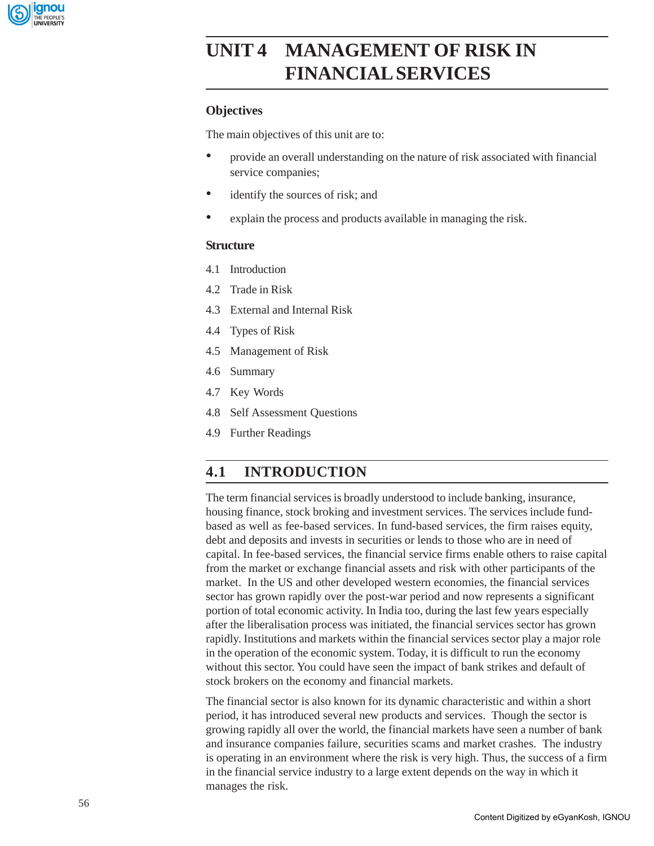

# **UNIT 4 MANAGEMENT OF RISK IN FINANCIAL SERVICES**

## **Objectives**

The main objectives of this unit are to:

- provide an overall understanding on the nature of risk associated with financial service companies;
- identify the sources of risk; and
- explain the process and products available in managing the risk.

## **Structure**

- 4.1 Introduction
- 4.2 Trade in Risk
- 4.3 External and Internal Risk
- 4.4 Types of Risk
- 4.5 Management of Risk
- 4.6 Summary
- 4.7 Key Words
- 4.8 Self Assessment Questions
- 4.9 Further Readings

## **4.1 INTRODUCTION**

The term financial services is broadly understood to include banking, insurance, housing finance, stock broking and investment services. The services include fundbased as well as fee-based services. In fund-based services, the firm raises equity, debt and deposits and invests in securities or lends to those who are in need of capital. In fee-based services, the financial service firms enable others to raise capital from the market or exchange financial assets and risk with other participants of the market. In the US and other developed western economies, the financial services sector has grown rapidly over the post-war period and now represents a significant portion of total economic activity. In India too, during the last few years especially after the liberalisation process was initiated, the financial services sector has grown rapidly. Institutions and markets within the financial services sector play a major role in the operation of the economic system. Today, it is difficult to run the economy without this sector. You could have seen the impact of bank strikes and default of stock brokers on the economy and financial markets.

The financial sector is also known for its dynamic characteristic and within a short period, it has introduced several new products and services. Though the sector is growing rapidly all over the world, the financial markets have seen a number of bank and insurance companies failure, securities scams and market crashes. The industry is operating in an environment where the risk is very high. Thus, the success of a firm in the financial service industry to a large extent depends on the way in which it manages the risk.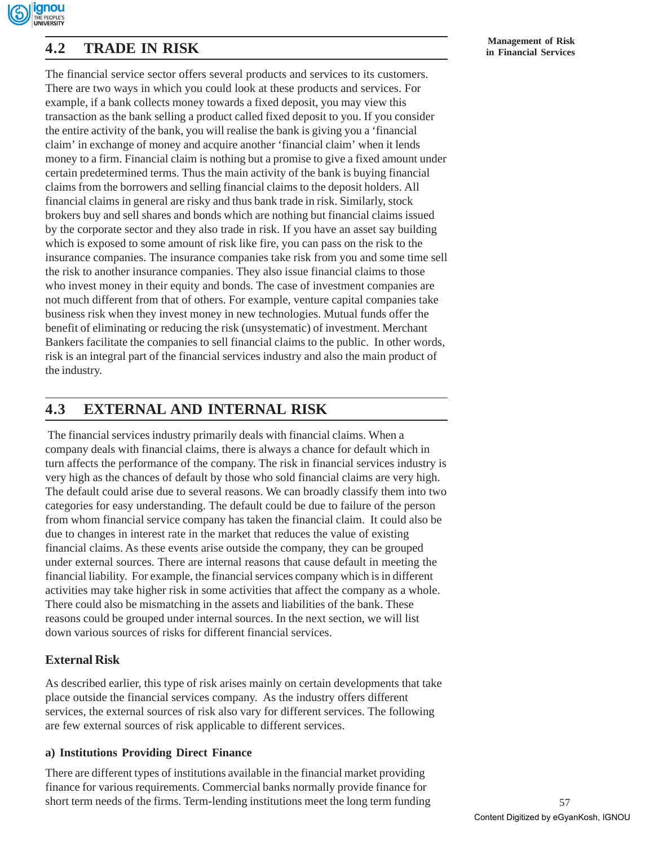

# **Management of Risk 4.2 TRADE IN RISK in Financial Services**

The financial service sector offers several products and services to its customers. There are two ways in which you could look at these products and services. For example, if a bank collects money towards a fixed deposit, you may view this transaction as the bank selling a product called fixed deposit to you. If you consider the entire activity of the bank, you will realise the bank is giving you a 'financial claim' in exchange of money and acquire another 'financial claim' when it lends money to a firm. Financial claim is nothing but a promise to give a fixed amount under certain predetermined terms. Thus the main activity of the bank is buying financial claims from the borrowers and selling financial claims to the deposit holders. All financial claims in general are risky and thus bank trade in risk. Similarly, stock brokers buy and sell shares and bonds which are nothing but financial claims issued by the corporate sector and they also trade in risk. If you have an asset say building which is exposed to some amount of risk like fire, you can pass on the risk to the insurance companies. The insurance companies take risk from you and some time sell the risk to another insurance companies. They also issue financial claims to those who invest money in their equity and bonds. The case of investment companies are not much different from that of others. For example, venture capital companies take business risk when they invest money in new technologies. Mutual funds offer the benefit of eliminating or reducing the risk (unsystematic) of investment. Merchant Bankers facilitate the companies to sell financial claims to the public. In other words, risk is an integral part of the financial services industry and also the main product of the industry.

## **4.3 EXTERNAL AND INTERNAL RISK**

 The financial services industry primarily deals with financial claims. When a company deals with financial claims, there is always a chance for default which in turn affects the performance of the company. The risk in financial services industry is very high as the chances of default by those who sold financial claims are very high. The default could arise due to several reasons. We can broadly classify them into two categories for easy understanding. The default could be due to failure of the person from whom financial service company has taken the financial claim. It could also be due to changes in interest rate in the market that reduces the value of existing financial claims. As these events arise outside the company, they can be grouped under external sources. There are internal reasons that cause default in meeting the financial liability. For example, the financial services company which is in different activities may take higher risk in some activities that affect the company as a whole. There could also be mismatching in the assets and liabilities of the bank. These reasons could be grouped under internal sources. In the next section, we will list down various sources of risks for different financial services.

## **External Risk**

As described earlier, this type of risk arises mainly on certain developments that take place outside the financial services company. As the industry offers different services, the external sources of risk also vary for different services. The following are few external sources of risk applicable to different services.

## **a) Institutions Providing Direct Finance**

There are different types of institutions available in the financial market providing finance for various requirements. Commercial banks normally provide finance for short term needs of the firms. Term-lending institutions meet the long term funding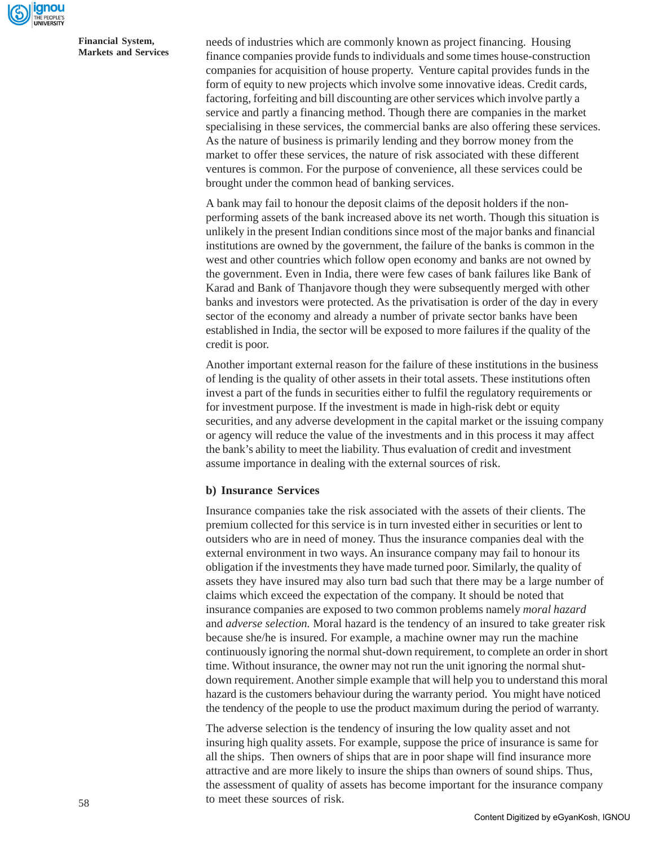

needs of industries which are commonly known as project financing. Housing finance companies provide funds to individuals and some times house-construction companies for acquisition of house property. Venture capital provides funds in the form of equity to new projects which involve some innovative ideas. Credit cards, factoring, forfeiting and bill discounting are other services which involve partly a service and partly a financing method. Though there are companies in the market specialising in these services, the commercial banks are also offering these services. As the nature of business is primarily lending and they borrow money from the market to offer these services, the nature of risk associated with these different ventures is common. For the purpose of convenience, all these services could be brought under the common head of banking services.

A bank may fail to honour the deposit claims of the deposit holders if the nonperforming assets of the bank increased above its net worth. Though this situation is unlikely in the present Indian conditions since most of the major banks and financial institutions are owned by the government, the failure of the banks is common in the west and other countries which follow open economy and banks are not owned by the government. Even in India, there were few cases of bank failures like Bank of Karad and Bank of Thanjavore though they were subsequently merged with other banks and investors were protected. As the privatisation is order of the day in every sector of the economy and already a number of private sector banks have been established in India, the sector will be exposed to more failures if the quality of the credit is poor.

Another important external reason for the failure of these institutions in the business of lending is the quality of other assets in their total assets. These institutions often invest a part of the funds in securities either to fulfil the regulatory requirements or for investment purpose. If the investment is made in high-risk debt or equity securities, and any adverse development in the capital market or the issuing company or agency will reduce the value of the investments and in this process it may affect the bank's ability to meet the liability. Thus evaluation of credit and investment assume importance in dealing with the external sources of risk.

## **b) Insurance Services**

Insurance companies take the risk associated with the assets of their clients. The premium collected for this service is in turn invested either in securities or lent to outsiders who are in need of money. Thus the insurance companies deal with the external environment in two ways. An insurance company may fail to honour its obligation if the investments they have made turned poor. Similarly, the quality of assets they have insured may also turn bad such that there may be a large number of claims which exceed the expectation of the company. It should be noted that insurance companies are exposed to two common problems namely *moral hazard* and *adverse selection.* Moral hazard is the tendency of an insured to take greater risk because she/he is insured. For example, a machine owner may run the machine continuously ignoring the normal shut-down requirement, to complete an order in short time. Without insurance, the owner may not run the unit ignoring the normal shutdown requirement. Another simple example that will help you to understand this moral hazard is the customers behaviour during the warranty period. You might have noticed the tendency of the people to use the product maximum during the period of warranty.

The adverse selection is the tendency of insuring the low quality asset and not insuring high quality assets. For example, suppose the price of insurance is same for all the ships. Then owners of ships that are in poor shape will find insurance more attractive and are more likely to insure the ships than owners of sound ships. Thus, the assessment of quality of assets has become important for the insurance company to meet these sources of risk.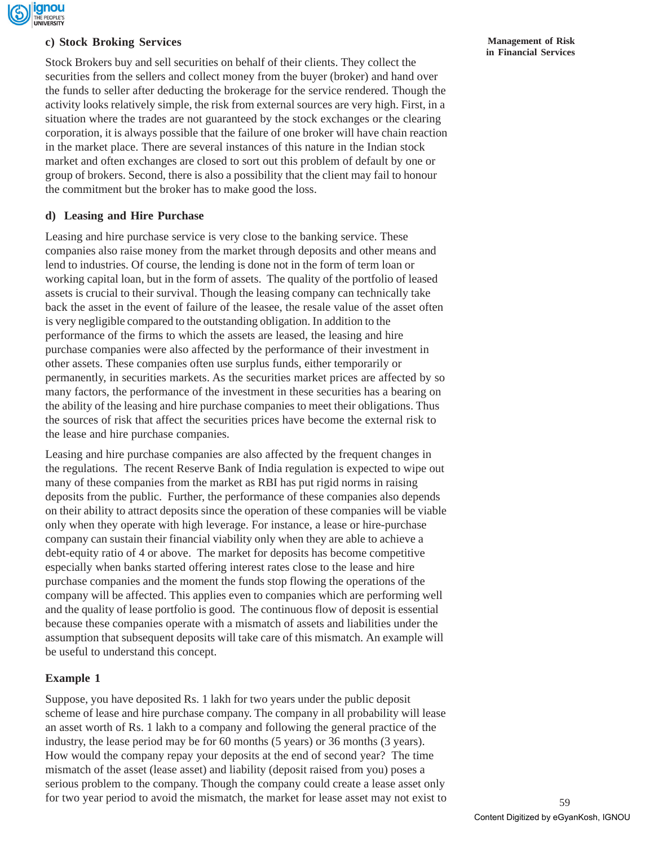

## **c) Stock Broking Services**

Stock Brokers buy and sell securities on behalf of their clients. They collect the securities from the sellers and collect money from the buyer (broker) and hand over the funds to seller after deducting the brokerage for the service rendered. Though the activity looks relatively simple, the risk from external sources are very high. First, in a situation where the trades are not guaranteed by the stock exchanges or the clearing corporation, it is always possible that the failure of one broker will have chain reaction in the market place. There are several instances of this nature in the Indian stock market and often exchanges are closed to sort out this problem of default by one or group of brokers. Second, there is also a possibility that the client may fail to honour the commitment but the broker has to make good the loss.

## **d) Leasing and Hire Purchase**

Leasing and hire purchase service is very close to the banking service. These companies also raise money from the market through deposits and other means and lend to industries. Of course, the lending is done not in the form of term loan or working capital loan, but in the form of assets. The quality of the portfolio of leased assets is crucial to their survival. Though the leasing company can technically take back the asset in the event of failure of the leasee, the resale value of the asset often is very negligible compared to the outstanding obligation. In addition to the performance of the firms to which the assets are leased, the leasing and hire purchase companies were also affected by the performance of their investment in other assets. These companies often use surplus funds, either temporarily or permanently, in securities markets. As the securities market prices are affected by so many factors, the performance of the investment in these securities has a bearing on the ability of the leasing and hire purchase companies to meet their obligations. Thus the sources of risk that affect the securities prices have become the external risk to the lease and hire purchase companies.

Leasing and hire purchase companies are also affected by the frequent changes in the regulations. The recent Reserve Bank of India regulation is expected to wipe out many of these companies from the market as RBI has put rigid norms in raising deposits from the public. Further, the performance of these companies also depends on their ability to attract deposits since the operation of these companies will be viable only when they operate with high leverage. For instance, a lease or hire-purchase company can sustain their financial viability only when they are able to achieve a debt-equity ratio of 4 or above. The market for deposits has become competitive especially when banks started offering interest rates close to the lease and hire purchase companies and the moment the funds stop flowing the operations of the company will be affected. This applies even to companies which are performing well and the quality of lease portfolio is good. The continuous flow of deposit is essential because these companies operate with a mismatch of assets and liabilities under the assumption that subsequent deposits will take care of this mismatch. An example will be useful to understand this concept.

## **Example 1**

Suppose, you have deposited Rs. 1 lakh for two years under the public deposit scheme of lease and hire purchase company. The company in all probability will lease an asset worth of Rs. 1 lakh to a company and following the general practice of the industry, the lease period may be for 60 months (5 years) or 36 months (3 years). How would the company repay your deposits at the end of second year? The time mismatch of the asset (lease asset) and liability (deposit raised from you) poses a serious problem to the company. Though the company could create a lease asset only for two year period to avoid the mismatch, the market for lease asset may not exist to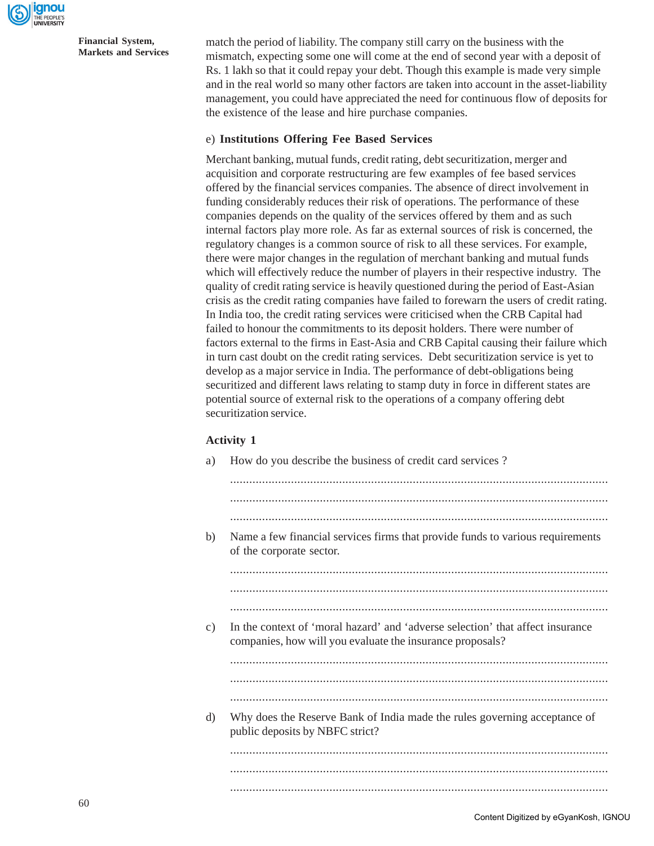

match the period of liability. The company still carry on the business with the mismatch, expecting some one will come at the end of second year with a deposit of Rs. 1 lakh so that it could repay your debt. Though this example is made very simple and in the real world so many other factors are taken into account in the asset-liability management, you could have appreciated the need for continuous flow of deposits for the existence of the lease and hire purchase companies.

## e) **Institutions Offering Fee Based Services**

Merchant banking, mutual funds, credit rating, debt securitization, merger and acquisition and corporate restructuring are few examples of fee based services offered by the financial services companies. The absence of direct involvement in funding considerably reduces their risk of operations. The performance of these companies depends on the quality of the services offered by them and as such internal factors play more role. As far as external sources of risk is concerned, the regulatory changes is a common source of risk to all these services. For example, there were major changes in the regulation of merchant banking and mutual funds which will effectively reduce the number of players in their respective industry. The quality of credit rating service is heavily questioned during the period of East-Asian crisis as the credit rating companies have failed to forewarn the users of credit rating. In India too, the credit rating services were criticised when the CRB Capital had failed to honour the commitments to its deposit holders. There were number of factors external to the firms in East-Asia and CRB Capital causing their failure which in turn cast doubt on the credit rating services. Debt securitization service is yet to develop as a major service in India. The performance of debt-obligations being securitized and different laws relating to stamp duty in force in different states are potential source of external risk to the operations of a company offering debt securitization service.

## **Activity 1**

| a) | How do you describe the business of credit card services?                                                                                   |
|----|---------------------------------------------------------------------------------------------------------------------------------------------|
|    |                                                                                                                                             |
|    |                                                                                                                                             |
| b) | Name a few financial services firms that provide funds to various requirements<br>of the corporate sector.                                  |
|    |                                                                                                                                             |
|    |                                                                                                                                             |
|    |                                                                                                                                             |
| c) | In the context of 'moral hazard' and 'adverse selection' that affect insurance<br>companies, how will you evaluate the insurance proposals? |
|    |                                                                                                                                             |
|    |                                                                                                                                             |
|    |                                                                                                                                             |
| d) | Why does the Reserve Bank of India made the rules governing acceptance of<br>public deposits by NBFC strict?                                |
|    |                                                                                                                                             |
|    |                                                                                                                                             |
|    |                                                                                                                                             |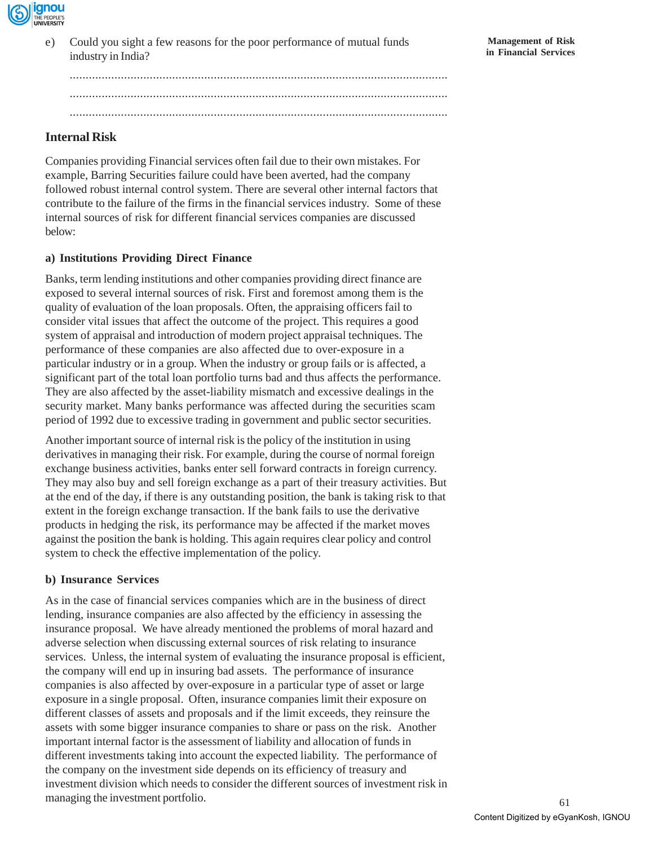

e) Could you sight a few reasons for the poor performance of mutual funds industry in India?

...................................................................................................................... ...................................................................................................................... ......................................................................................................................

## **Internal Risk**

Companies providing Financial services often fail due to their own mistakes. For example, Barring Securities failure could have been averted, had the company followed robust internal control system. There are several other internal factors that contribute to the failure of the firms in the financial services industry. Some of these internal sources of risk for different financial services companies are discussed below:

## **a) Institutions Providing Direct Finance**

Banks, term lending institutions and other companies providing direct finance are exposed to several internal sources of risk. First and foremost among them is the quality of evaluation of the loan proposals. Often, the appraising officers fail to consider vital issues that affect the outcome of the project. This requires a good system of appraisal and introduction of modern project appraisal techniques. The performance of these companies are also affected due to over-exposure in a particular industry or in a group. When the industry or group fails or is affected, a significant part of the total loan portfolio turns bad and thus affects the performance. They are also affected by the asset-liability mismatch and excessive dealings in the security market. Many banks performance was affected during the securities scam period of 1992 due to excessive trading in government and public sector securities.

Another important source of internal risk is the policy of the institution in using derivatives in managing their risk. For example, during the course of normal foreign exchange business activities, banks enter sell forward contracts in foreign currency. They may also buy and sell foreign exchange as a part of their treasury activities. But at the end of the day, if there is any outstanding position, the bank is taking risk to that extent in the foreign exchange transaction. If the bank fails to use the derivative products in hedging the risk, its performance may be affected if the market moves against the position the bank is holding. This again requires clear policy and control system to check the effective implementation of the policy.

## **b) Insurance Services**

As in the case of financial services companies which are in the business of direct lending, insurance companies are also affected by the efficiency in assessing the insurance proposal. We have already mentioned the problems of moral hazard and adverse selection when discussing external sources of risk relating to insurance services. Unless, the internal system of evaluating the insurance proposal is efficient, the company will end up in insuring bad assets. The performance of insurance companies is also affected by over-exposure in a particular type of asset or large exposure in a single proposal. Often, insurance companies limit their exposure on different classes of assets and proposals and if the limit exceeds, they reinsure the assets with some bigger insurance companies to share or pass on the risk. Another important internal factor is the assessment of liability and allocation of funds in different investments taking into account the expected liability. The performance of the company on the investment side depends on its efficiency of treasury and investment division which needs to consider the different sources of investment risk in managing the investment portfolio.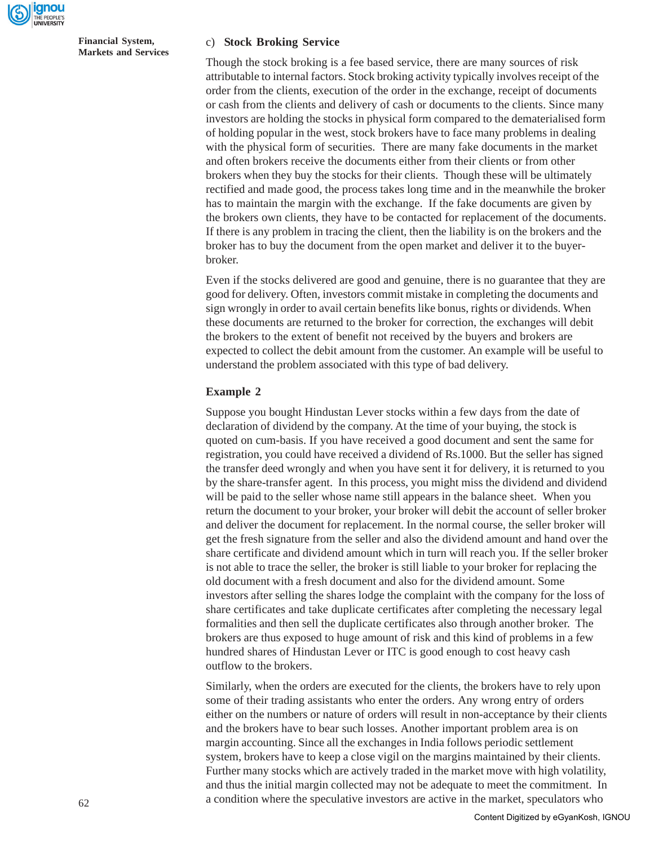

#### c) **Stock Broking Service**

Though the stock broking is a fee based service, there are many sources of risk attributable to internal factors. Stock broking activity typically involves receipt of the order from the clients, execution of the order in the exchange, receipt of documents or cash from the clients and delivery of cash or documents to the clients. Since many investors are holding the stocks in physical form compared to the dematerialised form of holding popular in the west, stock brokers have to face many problems in dealing with the physical form of securities. There are many fake documents in the market and often brokers receive the documents either from their clients or from other brokers when they buy the stocks for their clients. Though these will be ultimately rectified and made good, the process takes long time and in the meanwhile the broker has to maintain the margin with the exchange. If the fake documents are given by the brokers own clients, they have to be contacted for replacement of the documents. If there is any problem in tracing the client, then the liability is on the brokers and the broker has to buy the document from the open market and deliver it to the buyerbroker.

Even if the stocks delivered are good and genuine, there is no guarantee that they are good for delivery. Often, investors commit mistake in completing the documents and sign wrongly in order to avail certain benefits like bonus, rights or dividends. When these documents are returned to the broker for correction, the exchanges will debit the brokers to the extent of benefit not received by the buyers and brokers are expected to collect the debit amount from the customer. An example will be useful to understand the problem associated with this type of bad delivery.

#### **Example 2**

Suppose you bought Hindustan Lever stocks within a few days from the date of declaration of dividend by the company. At the time of your buying, the stock is quoted on cum-basis. If you have received a good document and sent the same for registration, you could have received a dividend of Rs.1000. But the seller has signed the transfer deed wrongly and when you have sent it for delivery, it is returned to you by the share-transfer agent. In this process, you might miss the dividend and dividend will be paid to the seller whose name still appears in the balance sheet. When you return the document to your broker, your broker will debit the account of seller broker and deliver the document for replacement. In the normal course, the seller broker will get the fresh signature from the seller and also the dividend amount and hand over the share certificate and dividend amount which in turn will reach you. If the seller broker is not able to trace the seller, the broker is still liable to your broker for replacing the old document with a fresh document and also for the dividend amount. Some investors after selling the shares lodge the complaint with the company for the loss of share certificates and take duplicate certificates after completing the necessary legal formalities and then sell the duplicate certificates also through another broker. The brokers are thus exposed to huge amount of risk and this kind of problems in a few hundred shares of Hindustan Lever or ITC is good enough to cost heavy cash outflow to the brokers.

Similarly, when the orders are executed for the clients, the brokers have to rely upon some of their trading assistants who enter the orders. Any wrong entry of orders either on the numbers or nature of orders will result in non-acceptance by their clients and the brokers have to bear such losses. Another important problem area is on margin accounting. Since all the exchanges in India follows periodic settlement system, brokers have to keep a close vigil on the margins maintained by their clients. Further many stocks which are actively traded in the market move with high volatility, and thus the initial margin collected may not be adequate to meet the commitment. In a condition where the speculative investors are active in the market, speculators who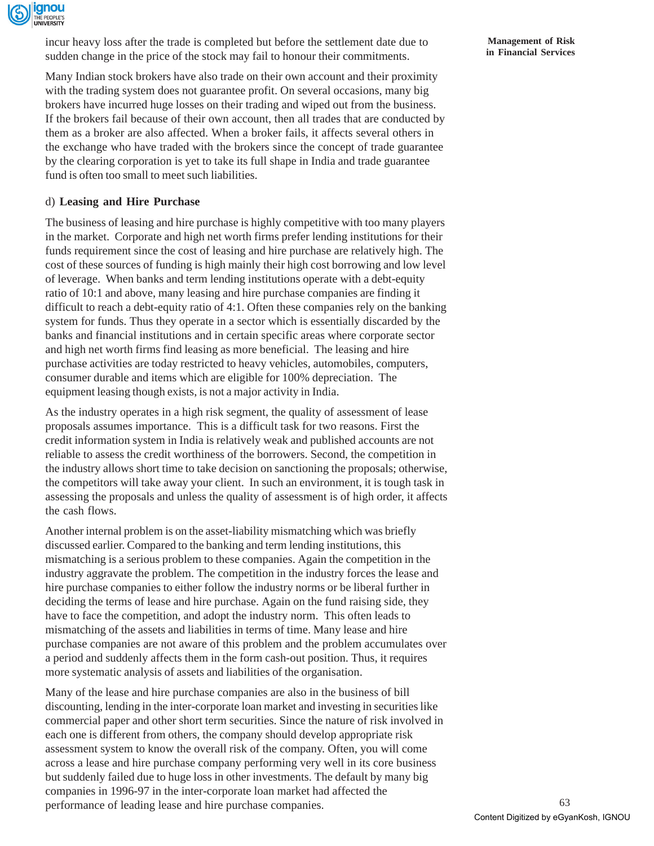

incur heavy loss after the trade is completed but before the settlement date due to sudden change in the price of the stock may fail to honour their commitments.

Many Indian stock brokers have also trade on their own account and their proximity with the trading system does not guarantee profit. On several occasions, many big brokers have incurred huge losses on their trading and wiped out from the business. If the brokers fail because of their own account, then all trades that are conducted by them as a broker are also affected. When a broker fails, it affects several others in the exchange who have traded with the brokers since the concept of trade guarantee by the clearing corporation is yet to take its full shape in India and trade guarantee fund is often too small to meet such liabilities.

## d) **Leasing and Hire Purchase**

The business of leasing and hire purchase is highly competitive with too many players in the market. Corporate and high net worth firms prefer lending institutions for their funds requirement since the cost of leasing and hire purchase are relatively high. The cost of these sources of funding is high mainly their high cost borrowing and low level of leverage. When banks and term lending institutions operate with a debt-equity ratio of 10:1 and above, many leasing and hire purchase companies are finding it difficult to reach a debt-equity ratio of 4:1. Often these companies rely on the banking system for funds. Thus they operate in a sector which is essentially discarded by the banks and financial institutions and in certain specific areas where corporate sector and high net worth firms find leasing as more beneficial. The leasing and hire purchase activities are today restricted to heavy vehicles, automobiles, computers, consumer durable and items which are eligible for 100% depreciation. The equipment leasing though exists, is not a major activity in India.

As the industry operates in a high risk segment, the quality of assessment of lease proposals assumes importance. This is a difficult task for two reasons. First the credit information system in India is relatively weak and published accounts are not reliable to assess the credit worthiness of the borrowers. Second, the competition in the industry allows short time to take decision on sanctioning the proposals; otherwise, the competitors will take away your client. In such an environment, it is tough task in assessing the proposals and unless the quality of assessment is of high order, it affects the cash flows.

Another internal problem is on the asset-liability mismatching which was briefly discussed earlier. Compared to the banking and term lending institutions, this mismatching is a serious problem to these companies. Again the competition in the industry aggravate the problem. The competition in the industry forces the lease and hire purchase companies to either follow the industry norms or be liberal further in deciding the terms of lease and hire purchase. Again on the fund raising side, they have to face the competition, and adopt the industry norm. This often leads to mismatching of the assets and liabilities in terms of time. Many lease and hire purchase companies are not aware of this problem and the problem accumulates over a period and suddenly affects them in the form cash-out position. Thus, it requires more systematic analysis of assets and liabilities of the organisation.

Many of the lease and hire purchase companies are also in the business of bill discounting, lending in the inter-corporate loan market and investing in securities like commercial paper and other short term securities. Since the nature of risk involved in each one is different from others, the company should develop appropriate risk assessment system to know the overall risk of the company. Often, you will come across a lease and hire purchase company performing very well in its core business but suddenly failed due to huge loss in other investments. The default by many big companies in 1996-97 in the inter-corporate loan market had affected the performance of leading lease and hire purchase companies.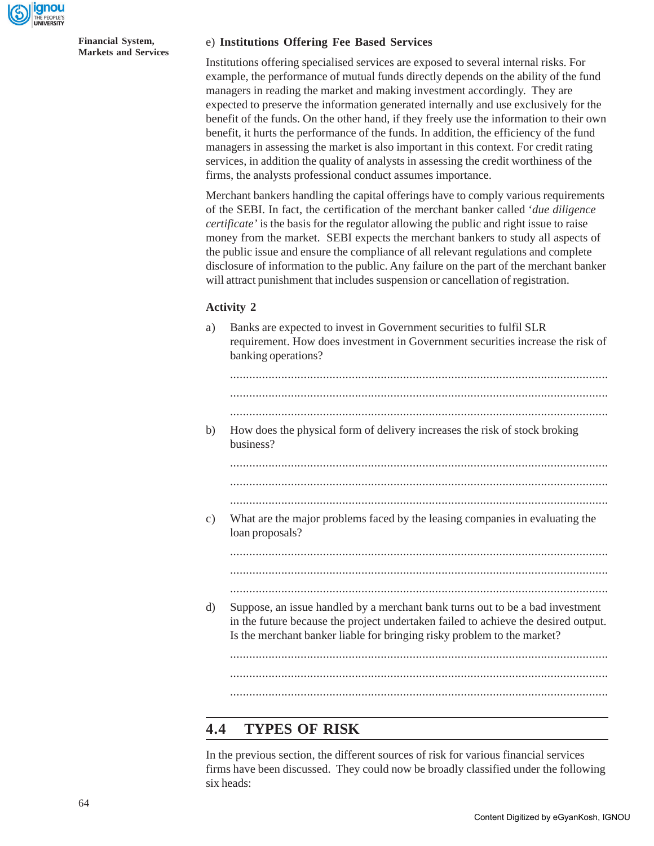

#### e) **Institutions Offering Fee Based Services**

Institutions offering specialised services are exposed to several internal risks. For example, the performance of mutual funds directly depends on the ability of the fund managers in reading the market and making investment accordingly. They are expected to preserve the information generated internally and use exclusively for the benefit of the funds. On the other hand, if they freely use the information to their own benefit, it hurts the performance of the funds. In addition, the efficiency of the fund managers in assessing the market is also important in this context. For credit rating services, in addition the quality of analysts in assessing the credit worthiness of the firms, the analysts professional conduct assumes importance.

Merchant bankers handling the capital offerings have to comply various requirements of the SEBI. In fact, the certification of the merchant banker called '*due diligence certificate'* is the basis for the regulator allowing the public and right issue to raise money from the market. SEBI expects the merchant bankers to study all aspects of the public issue and ensure the compliance of all relevant regulations and complete disclosure of information to the public. Any failure on the part of the merchant banker will attract punishment that includes suspension or cancellation of registration.

#### **Activity 2**

a) Banks are expected to invest in Government securities to fulfil SLR requirement. How does investment in Government securities increase the risk of banking operations?

| b) | How does the physical form of delivery increases the risk of stock broking<br>business?                                                                                                                                                        |
|----|------------------------------------------------------------------------------------------------------------------------------------------------------------------------------------------------------------------------------------------------|
|    |                                                                                                                                                                                                                                                |
|    |                                                                                                                                                                                                                                                |
|    |                                                                                                                                                                                                                                                |
| c) | What are the major problems faced by the leasing companies in evaluating the<br>loan proposals?                                                                                                                                                |
|    |                                                                                                                                                                                                                                                |
|    |                                                                                                                                                                                                                                                |
|    |                                                                                                                                                                                                                                                |
| d) | Suppose, an issue handled by a merchant bank turns out to be a bad investment<br>in the future because the project undertaken failed to achieve the desired output.<br>Is the merchant banker liable for bringing risky problem to the market? |
|    |                                                                                                                                                                                                                                                |
|    |                                                                                                                                                                                                                                                |
|    |                                                                                                                                                                                                                                                |

## **4.4 TYPES OF RISK**

In the previous section, the different sources of risk for various financial services firms have been discussed. They could now be broadly classified under the following six heads: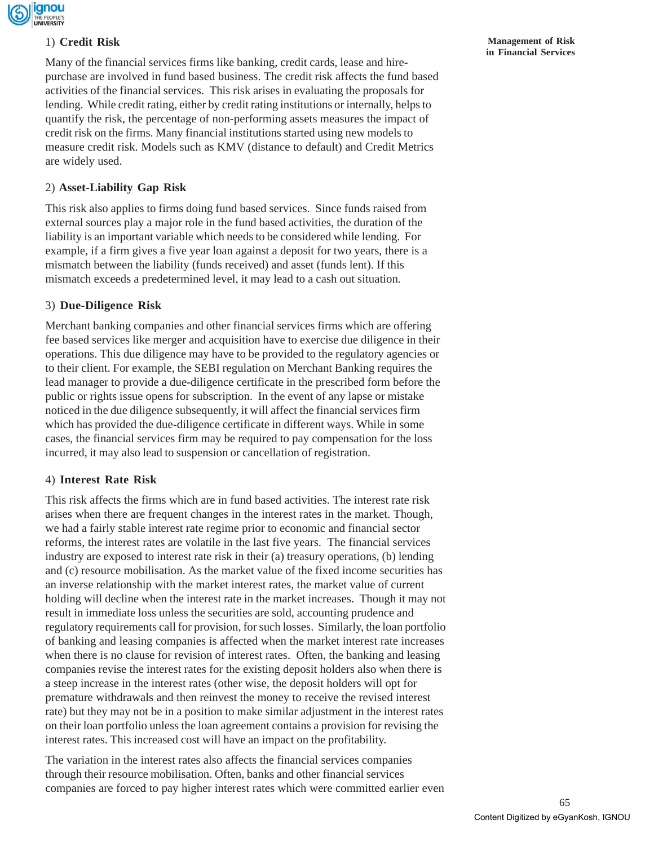

## 1) **Credit Risk**

Many of the financial services firms like banking, credit cards, lease and hirepurchase are involved in fund based business. The credit risk affects the fund based activities of the financial services. This risk arises in evaluating the proposals for lending. While credit rating, either by credit rating institutions or internally, helps to quantify the risk, the percentage of non-performing assets measures the impact of credit risk on the firms. Many financial institutions started using new models to measure credit risk. Models such as KMV (distance to default) and Credit Metrics are widely used.

## 2) **Asset-Liability Gap Risk**

This risk also applies to firms doing fund based services. Since funds raised from external sources play a major role in the fund based activities, the duration of the liability is an important variable which needs to be considered while lending. For example, if a firm gives a five year loan against a deposit for two years, there is a mismatch between the liability (funds received) and asset (funds lent). If this mismatch exceeds a predetermined level, it may lead to a cash out situation.

## 3) **Due-Diligence Risk**

Merchant banking companies and other financial services firms which are offering fee based services like merger and acquisition have to exercise due diligence in their operations. This due diligence may have to be provided to the regulatory agencies or to their client. For example, the SEBI regulation on Merchant Banking requires the lead manager to provide a due-diligence certificate in the prescribed form before the public or rights issue opens for subscription. In the event of any lapse or mistake noticed in the due diligence subsequently, it will affect the financial services firm which has provided the due-diligence certificate in different ways. While in some cases, the financial services firm may be required to pay compensation for the loss incurred, it may also lead to suspension or cancellation of registration.

## 4) **Interest Rate Risk**

This risk affects the firms which are in fund based activities. The interest rate risk arises when there are frequent changes in the interest rates in the market. Though, we had a fairly stable interest rate regime prior to economic and financial sector reforms, the interest rates are volatile in the last five years. The financial services industry are exposed to interest rate risk in their (a) treasury operations, (b) lending and (c) resource mobilisation. As the market value of the fixed income securities has an inverse relationship with the market interest rates, the market value of current holding will decline when the interest rate in the market increases. Though it may not result in immediate loss unless the securities are sold, accounting prudence and regulatory requirements call for provision, for such losses. Similarly, the loan portfolio of banking and leasing companies is affected when the market interest rate increases when there is no clause for revision of interest rates. Often, the banking and leasing companies revise the interest rates for the existing deposit holders also when there is a steep increase in the interest rates (other wise, the deposit holders will opt for premature withdrawals and then reinvest the money to receive the revised interest rate) but they may not be in a position to make similar adjustment in the interest rates on their loan portfolio unless the loan agreement contains a provision for revising the interest rates. This increased cost will have an impact on the profitability.

The variation in the interest rates also affects the financial services companies through their resource mobilisation. Often, banks and other financial services companies are forced to pay higher interest rates which were committed earlier even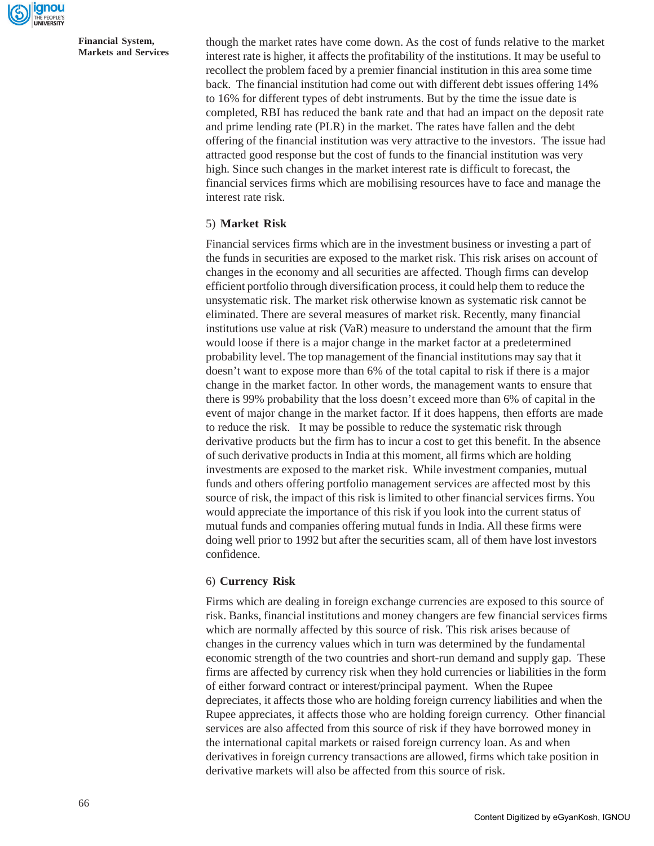

though the market rates have come down. As the cost of funds relative to the market interest rate is higher, it affects the profitability of the institutions. It may be useful to recollect the problem faced by a premier financial institution in this area some time back. The financial institution had come out with different debt issues offering 14% to 16% for different types of debt instruments. But by the time the issue date is completed, RBI has reduced the bank rate and that had an impact on the deposit rate and prime lending rate (PLR) in the market. The rates have fallen and the debt offering of the financial institution was very attractive to the investors. The issue had attracted good response but the cost of funds to the financial institution was very high. Since such changes in the market interest rate is difficult to forecast, the financial services firms which are mobilising resources have to face and manage the interest rate risk.

## 5) **Market Risk**

Financial services firms which are in the investment business or investing a part of the funds in securities are exposed to the market risk. This risk arises on account of changes in the economy and all securities are affected. Though firms can develop efficient portfolio through diversification process, it could help them to reduce the unsystematic risk. The market risk otherwise known as systematic risk cannot be eliminated. There are several measures of market risk. Recently, many financial institutions use value at risk (VaR) measure to understand the amount that the firm would loose if there is a major change in the market factor at a predetermined probability level. The top management of the financial institutions may say that it doesn't want to expose more than 6% of the total capital to risk if there is a major change in the market factor. In other words, the management wants to ensure that there is 99% probability that the loss doesn't exceed more than 6% of capital in the event of major change in the market factor. If it does happens, then efforts are made to reduce the risk. It may be possible to reduce the systematic risk through derivative products but the firm has to incur a cost to get this benefit. In the absence of such derivative products in India at this moment, all firms which are holding investments are exposed to the market risk. While investment companies, mutual funds and others offering portfolio management services are affected most by this source of risk, the impact of this risk is limited to other financial services firms. You would appreciate the importance of this risk if you look into the current status of mutual funds and companies offering mutual funds in India. All these firms were doing well prior to 1992 but after the securities scam, all of them have lost investors confidence.

#### 6) **Currency Risk**

Firms which are dealing in foreign exchange currencies are exposed to this source of risk. Banks, financial institutions and money changers are few financial services firms which are normally affected by this source of risk. This risk arises because of changes in the currency values which in turn was determined by the fundamental economic strength of the two countries and short-run demand and supply gap. These firms are affected by currency risk when they hold currencies or liabilities in the form of either forward contract or interest/principal payment. When the Rupee depreciates, it affects those who are holding foreign currency liabilities and when the Rupee appreciates, it affects those who are holding foreign currency. Other financial services are also affected from this source of risk if they have borrowed money in the international capital markets or raised foreign currency loan. As and when derivatives in foreign currency transactions are allowed, firms which take position in derivative markets will also be affected from this source of risk.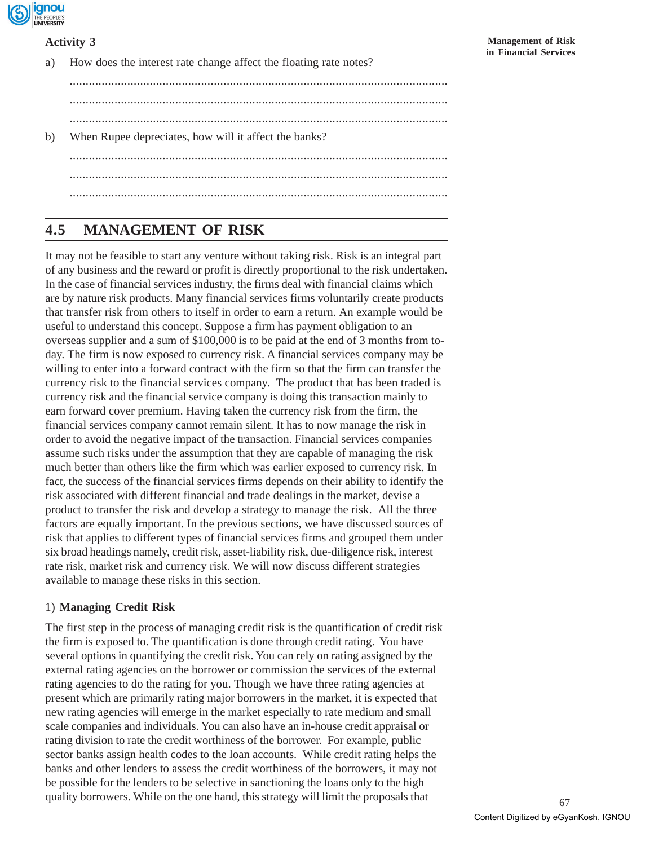

## **Activity 3**

a) How does the interest rate change affect the floating rate notes? ...................................................................................................................... ...................................................................................................................... ...................................................................................................................... b) When Rupee depreciates, how will it affect the banks?

...................................................................................................................... ...................................................................................................................... ......................................................................................................................

## **4.5 MANAGEMENT OF RISK**

It may not be feasible to start any venture without taking risk. Risk is an integral part of any business and the reward or profit is directly proportional to the risk undertaken. In the case of financial services industry, the firms deal with financial claims which are by nature risk products. Many financial services firms voluntarily create products that transfer risk from others to itself in order to earn a return. An example would be useful to understand this concept. Suppose a firm has payment obligation to an overseas supplier and a sum of \$100,000 is to be paid at the end of 3 months from today. The firm is now exposed to currency risk. A financial services company may be willing to enter into a forward contract with the firm so that the firm can transfer the currency risk to the financial services company. The product that has been traded is currency risk and the financial service company is doing this transaction mainly to earn forward cover premium. Having taken the currency risk from the firm, the financial services company cannot remain silent. It has to now manage the risk in order to avoid the negative impact of the transaction. Financial services companies assume such risks under the assumption that they are capable of managing the risk much better than others like the firm which was earlier exposed to currency risk. In fact, the success of the financial services firms depends on their ability to identify the risk associated with different financial and trade dealings in the market, devise a product to transfer the risk and develop a strategy to manage the risk. All the three factors are equally important. In the previous sections, we have discussed sources of risk that applies to different types of financial services firms and grouped them under six broad headings namely, credit risk, asset-liability risk, due-diligence risk, interest rate risk, market risk and currency risk. We will now discuss different strategies available to manage these risks in this section.

## 1) **Managing Credit Risk**

The first step in the process of managing credit risk is the quantification of credit risk the firm is exposed to. The quantification is done through credit rating. You have several options in quantifying the credit risk. You can rely on rating assigned by the external rating agencies on the borrower or commission the services of the external rating agencies to do the rating for you. Though we have three rating agencies at present which are primarily rating major borrowers in the market, it is expected that new rating agencies will emerge in the market especially to rate medium and small scale companies and individuals. You can also have an in-house credit appraisal or rating division to rate the credit worthiness of the borrower. For example, public sector banks assign health codes to the loan accounts. While credit rating helps the banks and other lenders to assess the credit worthiness of the borrowers, it may not be possible for the lenders to be selective in sanctioning the loans only to the high quality borrowers. While on the one hand, this strategy will limit the proposals that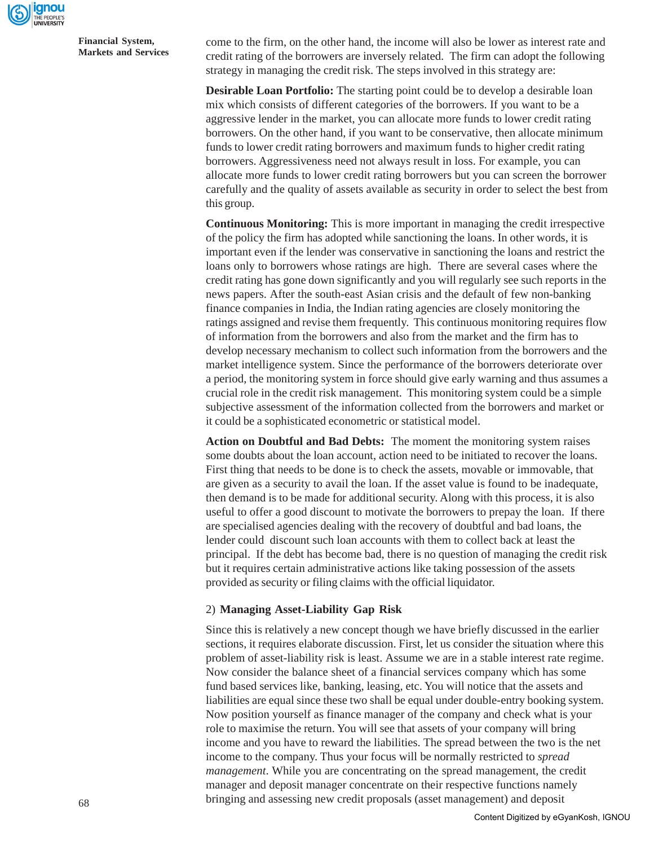

come to the firm, on the other hand, the income will also be lower as interest rate and credit rating of the borrowers are inversely related. The firm can adopt the following strategy in managing the credit risk. The steps involved in this strategy are:

**Desirable Loan Portfolio:** The starting point could be to develop a desirable loan mix which consists of different categories of the borrowers. If you want to be a aggressive lender in the market, you can allocate more funds to lower credit rating borrowers. On the other hand, if you want to be conservative, then allocate minimum funds to lower credit rating borrowers and maximum funds to higher credit rating borrowers. Aggressiveness need not always result in loss. For example, you can allocate more funds to lower credit rating borrowers but you can screen the borrower carefully and the quality of assets available as security in order to select the best from this group.

**Continuous Monitoring:** This is more important in managing the credit irrespective of the policy the firm has adopted while sanctioning the loans. In other words, it is important even if the lender was conservative in sanctioning the loans and restrict the loans only to borrowers whose ratings are high. There are several cases where the credit rating has gone down significantly and you will regularly see such reports in the news papers. After the south-east Asian crisis and the default of few non-banking finance companies in India, the Indian rating agencies are closely monitoring the ratings assigned and revise them frequently. This continuous monitoring requires flow of information from the borrowers and also from the market and the firm has to develop necessary mechanism to collect such information from the borrowers and the market intelligence system. Since the performance of the borrowers deteriorate over a period, the monitoring system in force should give early warning and thus assumes a crucial role in the credit risk management. This monitoring system could be a simple subjective assessment of the information collected from the borrowers and market or it could be a sophisticated econometric or statistical model.

**Action on Doubtful and Bad Debts:** The moment the monitoring system raises some doubts about the loan account, action need to be initiated to recover the loans. First thing that needs to be done is to check the assets, movable or immovable, that are given as a security to avail the loan. If the asset value is found to be inadequate, then demand is to be made for additional security. Along with this process, it is also useful to offer a good discount to motivate the borrowers to prepay the loan. If there are specialised agencies dealing with the recovery of doubtful and bad loans, the lender could discount such loan accounts with them to collect back at least the principal. If the debt has become bad, there is no question of managing the credit risk but it requires certain administrative actions like taking possession of the assets provided as security or filing claims with the official liquidator.

#### 2) **Managing Asset-Liability Gap Risk**

Since this is relatively a new concept though we have briefly discussed in the earlier sections, it requires elaborate discussion. First, let us consider the situation where this problem of asset-liability risk is least. Assume we are in a stable interest rate regime. Now consider the balance sheet of a financial services company which has some fund based services like, banking, leasing, etc. You will notice that the assets and liabilities are equal since these two shall be equal under double-entry booking system. Now position yourself as finance manager of the company and check what is your role to maximise the return. You will see that assets of your company will bring income and you have to reward the liabilities. The spread between the two is the net income to the company. Thus your focus will be normally restricted to *spread management*. While you are concentrating on the spread management, the credit manager and deposit manager concentrate on their respective functions namely bringing and assessing new credit proposals (asset management) and deposit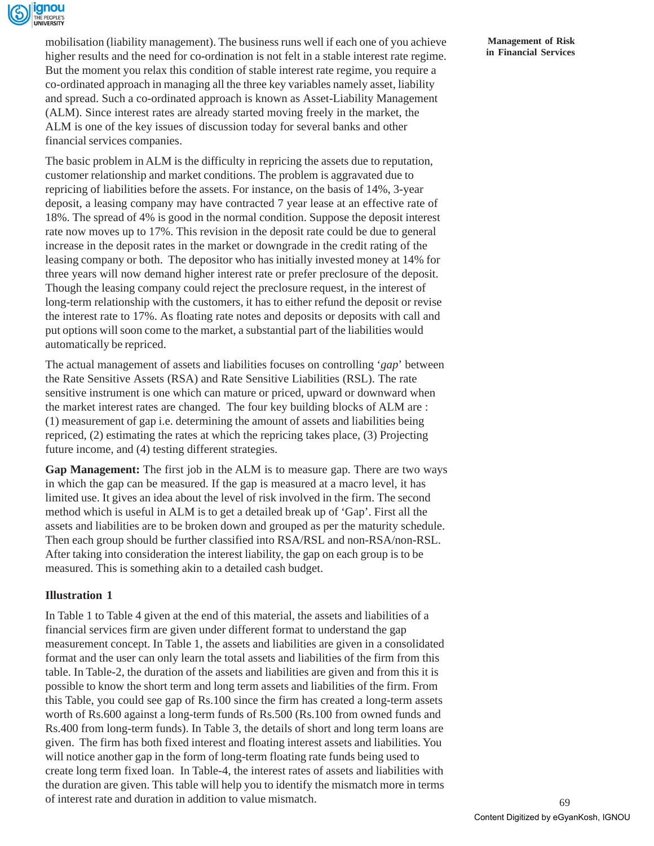

mobilisation (liability management). The business runs well if each one of you achieve higher results and the need for co-ordination is not felt in a stable interest rate regime. But the moment you relax this condition of stable interest rate regime, you require a co-ordinated approach in managing all the three key variables namely asset, liability and spread. Such a co-ordinated approach is known as Asset-Liability Management (ALM). Since interest rates are already started moving freely in the market, the ALM is one of the key issues of discussion today for several banks and other financial services companies.

The basic problem in ALM is the difficulty in repricing the assets due to reputation, customer relationship and market conditions. The problem is aggravated due to repricing of liabilities before the assets. For instance, on the basis of 14%, 3-year deposit, a leasing company may have contracted 7 year lease at an effective rate of 18%. The spread of 4% is good in the normal condition. Suppose the deposit interest rate now moves up to 17%. This revision in the deposit rate could be due to general increase in the deposit rates in the market or downgrade in the credit rating of the leasing company or both. The depositor who has initially invested money at 14% for three years will now demand higher interest rate or prefer preclosure of the deposit. Though the leasing company could reject the preclosure request, in the interest of long-term relationship with the customers, it has to either refund the deposit or revise the interest rate to 17%. As floating rate notes and deposits or deposits with call and put options will soon come to the market, a substantial part of the liabilities would automatically be repriced.

The actual management of assets and liabilities focuses on controlling '*gap*' between the Rate Sensitive Assets (RSA) and Rate Sensitive Liabilities (RSL). The rate sensitive instrument is one which can mature or priced, upward or downward when the market interest rates are changed. The four key building blocks of ALM are : (1) measurement of gap i.e. determining the amount of assets and liabilities being repriced, (2) estimating the rates at which the repricing takes place, (3) Projecting future income, and (4) testing different strategies.

**Gap Management:** The first job in the ALM is to measure gap. There are two ways in which the gap can be measured. If the gap is measured at a macro level, it has limited use. It gives an idea about the level of risk involved in the firm. The second method which is useful in ALM is to get a detailed break up of 'Gap'. First all the assets and liabilities are to be broken down and grouped as per the maturity schedule. Then each group should be further classified into RSA/RSL and non-RSA/non-RSL. After taking into consideration the interest liability, the gap on each group is to be measured. This is something akin to a detailed cash budget.

## **Illustration 1**

In Table 1 to Table 4 given at the end of this material, the assets and liabilities of a financial services firm are given under different format to understand the gap measurement concept. In Table 1, the assets and liabilities are given in a consolidated format and the user can only learn the total assets and liabilities of the firm from this table. In Table-2, the duration of the assets and liabilities are given and from this it is possible to know the short term and long term assets and liabilities of the firm. From this Table, you could see gap of Rs.100 since the firm has created a long-term assets worth of Rs.600 against a long-term funds of Rs.500 (Rs.100 from owned funds and Rs.400 from long-term funds). In Table 3, the details of short and long term loans are given. The firm has both fixed interest and floating interest assets and liabilities. You will notice another gap in the form of long-term floating rate funds being used to create long term fixed loan. In Table-4, the interest rates of assets and liabilities with the duration are given. This table will help you to identify the mismatch more in terms of interest rate and duration in addition to value mismatch.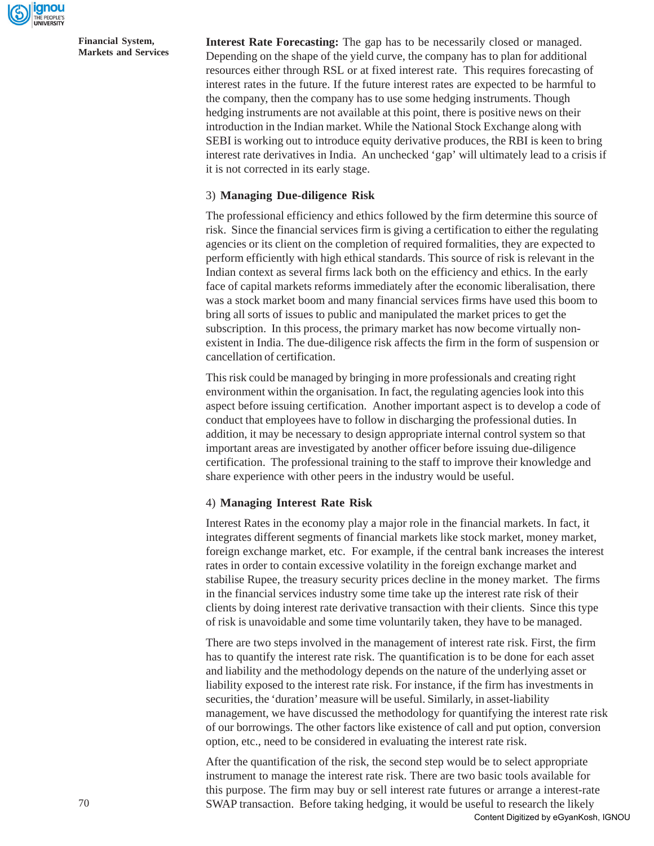

**Interest Rate Forecasting:** The gap has to be necessarily closed or managed. Depending on the shape of the yield curve, the company has to plan for additional resources either through RSL or at fixed interest rate. This requires forecasting of interest rates in the future. If the future interest rates are expected to be harmful to the company, then the company has to use some hedging instruments. Though hedging instruments are not available at this point, there is positive news on their introduction in the Indian market. While the National Stock Exchange along with SEBI is working out to introduce equity derivative produces, the RBI is keen to bring interest rate derivatives in India. An unchecked 'gap' will ultimately lead to a crisis if it is not corrected in its early stage.

#### 3) **Managing Due-diligence Risk**

The professional efficiency and ethics followed by the firm determine this source of risk. Since the financial services firm is giving a certification to either the regulating agencies or its client on the completion of required formalities, they are expected to perform efficiently with high ethical standards. This source of risk is relevant in the Indian context as several firms lack both on the efficiency and ethics. In the early face of capital markets reforms immediately after the economic liberalisation, there was a stock market boom and many financial services firms have used this boom to bring all sorts of issues to public and manipulated the market prices to get the subscription. In this process, the primary market has now become virtually nonexistent in India. The due-diligence risk affects the firm in the form of suspension or cancellation of certification.

This risk could be managed by bringing in more professionals and creating right environment within the organisation. In fact, the regulating agencies look into this aspect before issuing certification. Another important aspect is to develop a code of conduct that employees have to follow in discharging the professional duties. In addition, it may be necessary to design appropriate internal control system so that important areas are investigated by another officer before issuing due-diligence certification. The professional training to the staff to improve their knowledge and share experience with other peers in the industry would be useful.

#### 4) **Managing Interest Rate Risk**

Interest Rates in the economy play a major role in the financial markets. In fact, it integrates different segments of financial markets like stock market, money market, foreign exchange market, etc. For example, if the central bank increases the interest rates in order to contain excessive volatility in the foreign exchange market and stabilise Rupee, the treasury security prices decline in the money market. The firms in the financial services industry some time take up the interest rate risk of their clients by doing interest rate derivative transaction with their clients. Since this type of risk is unavoidable and some time voluntarily taken, they have to be managed.

There are two steps involved in the management of interest rate risk. First, the firm has to quantify the interest rate risk. The quantification is to be done for each asset and liability and the methodology depends on the nature of the underlying asset or liability exposed to the interest rate risk. For instance, if the firm has investments in securities, the 'duration' measure will be useful. Similarly, in asset-liability management, we have discussed the methodology for quantifying the interest rate risk of our borrowings. The other factors like existence of call and put option, conversion option, etc., need to be considered in evaluating the interest rate risk.

After the quantification of the risk, the second step would be to select appropriate instrument to manage the interest rate risk. There are two basic tools available for this purpose. The firm may buy or sell interest rate futures or arrange a interest-rate SWAP transaction. Before taking hedging, it would be useful to research the likely Content Digitized by eGyanKosh, IGNOU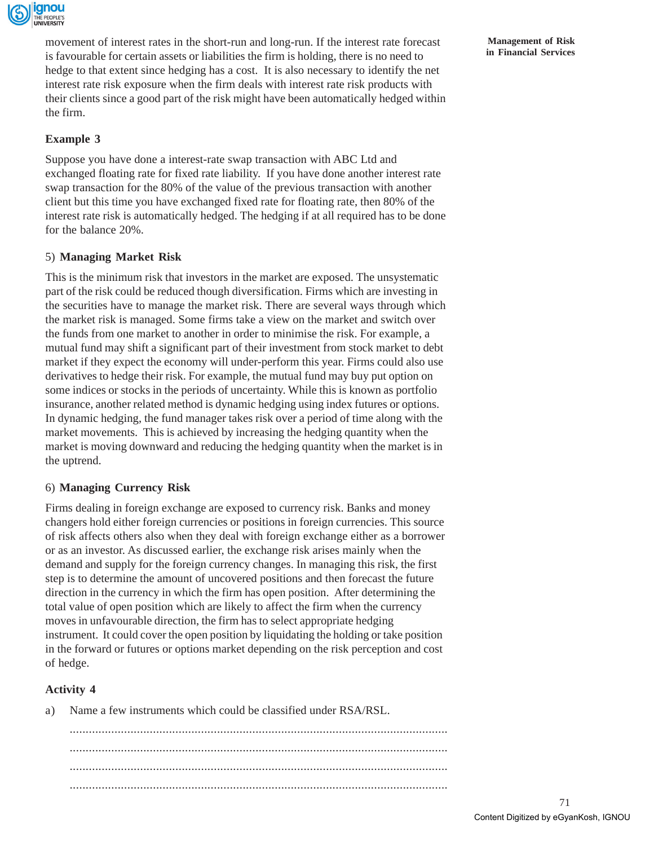

movement of interest rates in the short-run and long-run. If the interest rate forecast is favourable for certain assets or liabilities the firm is holding, there is no need to hedge to that extent since hedging has a cost. It is also necessary to identify the net interest rate risk exposure when the firm deals with interest rate risk products with their clients since a good part of the risk might have been automatically hedged within the firm.

## **Example 3**

Suppose you have done a interest-rate swap transaction with ABC Ltd and exchanged floating rate for fixed rate liability. If you have done another interest rate swap transaction for the 80% of the value of the previous transaction with another client but this time you have exchanged fixed rate for floating rate, then 80% of the interest rate risk is automatically hedged. The hedging if at all required has to be done for the balance 20%.

## 5) **Managing Market Risk**

This is the minimum risk that investors in the market are exposed. The unsystematic part of the risk could be reduced though diversification. Firms which are investing in the securities have to manage the market risk. There are several ways through which the market risk is managed. Some firms take a view on the market and switch over the funds from one market to another in order to minimise the risk. For example, a mutual fund may shift a significant part of their investment from stock market to debt market if they expect the economy will under-perform this year. Firms could also use derivatives to hedge their risk. For example, the mutual fund may buy put option on some indices or stocks in the periods of uncertainty. While this is known as portfolio insurance, another related method is dynamic hedging using index futures or options. In dynamic hedging, the fund manager takes risk over a period of time along with the market movements. This is achieved by increasing the hedging quantity when the market is moving downward and reducing the hedging quantity when the market is in the uptrend.

## 6) **Managing Currency Risk**

Firms dealing in foreign exchange are exposed to currency risk. Banks and money changers hold either foreign currencies or positions in foreign currencies. This source of risk affects others also when they deal with foreign exchange either as a borrower or as an investor. As discussed earlier, the exchange risk arises mainly when the demand and supply for the foreign currency changes. In managing this risk, the first step is to determine the amount of uncovered positions and then forecast the future direction in the currency in which the firm has open position. After determining the total value of open position which are likely to affect the firm when the currency moves in unfavourable direction, the firm has to select appropriate hedging instrument. It could cover the open position by liquidating the holding or take position in the forward or futures or options market depending on the risk perception and cost of hedge.

## **Activity 4**

a) Name a few instruments which could be classified under RSA/RSL.

...................................................................................................................... ...................................................................................................................... ...................................................................................................................... ......................................................................................................................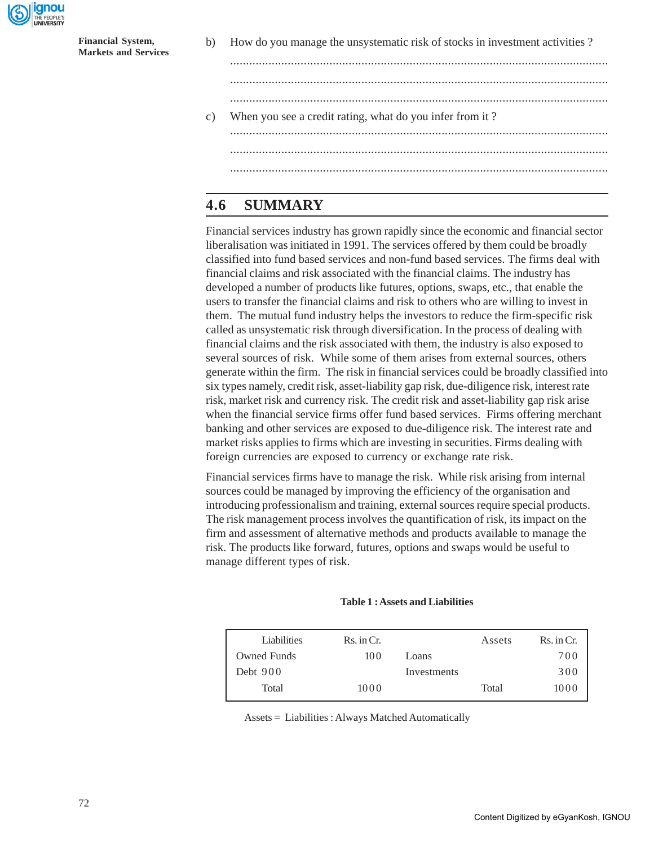

b) How do you manage the unsystematic risk of stocks in investment activities ?

...................................................................................................................... ......................................................................................................................

c) When you see a credit rating, what do you infer from it ? ...................................................................................................................... ......................................................................................................................

## **4.6 SUMMARY**

Financial services industry has grown rapidly since the economic and financial sector liberalisation was initiated in 1991. The services offered by them could be broadly classified into fund based services and non-fund based services. The firms deal with financial claims and risk associated with the financial claims. The industry has developed a number of products like futures, options, swaps, etc., that enable the users to transfer the financial claims and risk to others who are willing to invest in them. The mutual fund industry helps the investors to reduce the firm-specific risk called as unsystematic risk through diversification. In the process of dealing with financial claims and the risk associated with them, the industry is also exposed to several sources of risk. While some of them arises from external sources, others generate within the firm. The risk in financial services could be broadly classified into six types namely, credit risk, asset-liability gap risk, due-diligence risk, interest rate risk, market risk and currency risk. The credit risk and asset-liability gap risk arise when the financial service firms offer fund based services. Firms offering merchant banking and other services are exposed to due-diligence risk. The interest rate and market risks applies to firms which are investing in securities. Firms dealing with foreign currencies are exposed to currency or exchange rate risk.

Financial services firms have to manage the risk. While risk arising from internal sources could be managed by improving the efficiency of the organisation and introducing professionalism and training, external sources require special products. The risk management process involves the quantification of risk, its impact on the firm and assessment of alternative methods and products available to manage the risk. The products like forward, futures, options and swaps would be useful to manage different types of risk.

#### **Table 1 : Assets and Liabilities**

| Liabilities | $\mathbb{R}$ s. in Cr. |             | Assets | $Rs.$ in $Cr.$ |
|-------------|------------------------|-------------|--------|----------------|
| Owned Funds | 100                    | Loans       |        | 700            |
| Debt $900$  |                        | Investments |        | 300            |
| Total       | 1000                   |             | Total  | 1000           |
|             |                        |             |        |                |

Assets = Liabilities : Always Matched Automatically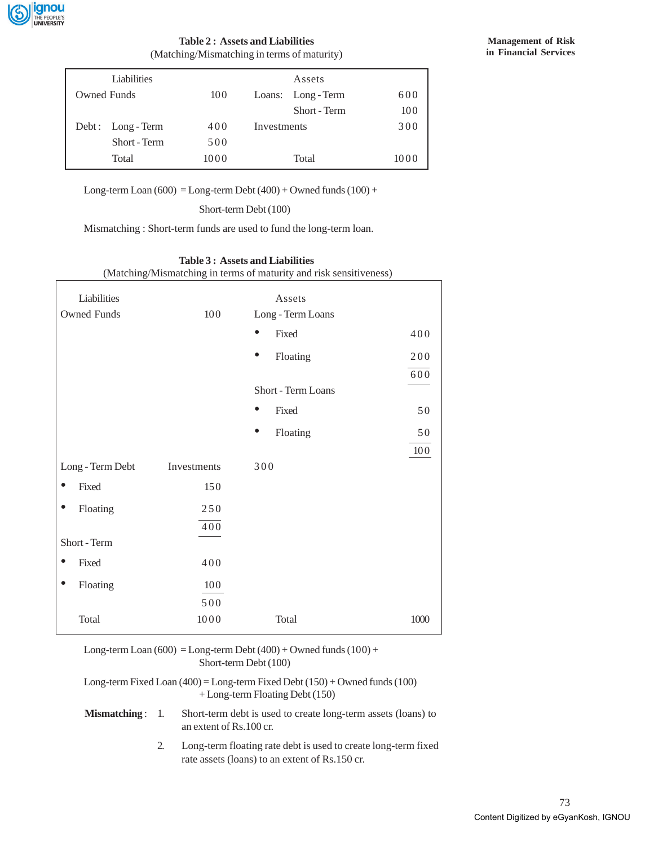

#### **Table 2 : Assets and Liabilities** (Matching/Mismatching in terms of maturity)

| Liabilities       |      | Assets             |      |
|-------------------|------|--------------------|------|
| Owned Funds       | 100  | Loans: Long - Term | 600  |
|                   |      | Short - Term       | 100  |
| Debt: Long - Term | 400  | Investments        | 300  |
| Short - Term      | 500  |                    |      |
| Total             | 1000 | Total              | 1000 |

Long-term Loan  $(600)$  = Long-term Debt  $(400)$  + Owned funds  $(100)$  +

Short-term Debt (100)

Mismatching : Short-term funds are used to fund the long-term loan.

#### **Table 3 : Assets and Liabilities**

(Matching/Mismatching in terms of maturity and risk sensitiveness)

| Liabilities                     |      | Assets                |      |
|---------------------------------|------|-----------------------|------|
| <b>Owned Funds</b>              | 100  | Long - Term Loans     |      |
|                                 |      | $\bullet$<br>Fixed    | 400  |
|                                 |      | $\bullet$<br>Floating | 200  |
|                                 |      |                       | 600  |
|                                 |      | Short - Term Loans    |      |
|                                 |      | Fixed<br>$\bullet$    | 50   |
|                                 |      | $\bullet$<br>Floating | 50   |
|                                 |      |                       | 100  |
| Long - Term Debt<br>Investments |      | 300                   |      |
| Fixed                           | 150  |                       |      |
| Floating                        | 250  |                       |      |
|                                 | 400  |                       |      |
| Short - Term                    |      |                       |      |
| Fixed<br>$\bullet$              | 400  |                       |      |
| Floating<br>$\bullet$           | 100  |                       |      |
|                                 | 500  |                       |      |
| Total                           | 1000 | Total                 | 1000 |

| Long-term Loan $(600)$ = Long-term Debt $(400)$ + Owned funds $(100)$ +<br>Short-term Debt (100)                       |    |                                                                                                                  |  |  |  |
|------------------------------------------------------------------------------------------------------------------------|----|------------------------------------------------------------------------------------------------------------------|--|--|--|
| Long-term Fixed Loan $(400)$ = Long-term Fixed Debt $(150)$ + Owned funds $(100)$<br>$+$ Long-term Floating Debt (150) |    |                                                                                                                  |  |  |  |
| $Mismatching: 1.$                                                                                                      |    | Short-term debt is used to create long-term assets (loans) to<br>an extent of Rs. 100 cr.                        |  |  |  |
|                                                                                                                        | 2. | Long-term floating rate debt is used to create long-term fixed<br>rate assets (loans) to an extent of Rs.150 cr. |  |  |  |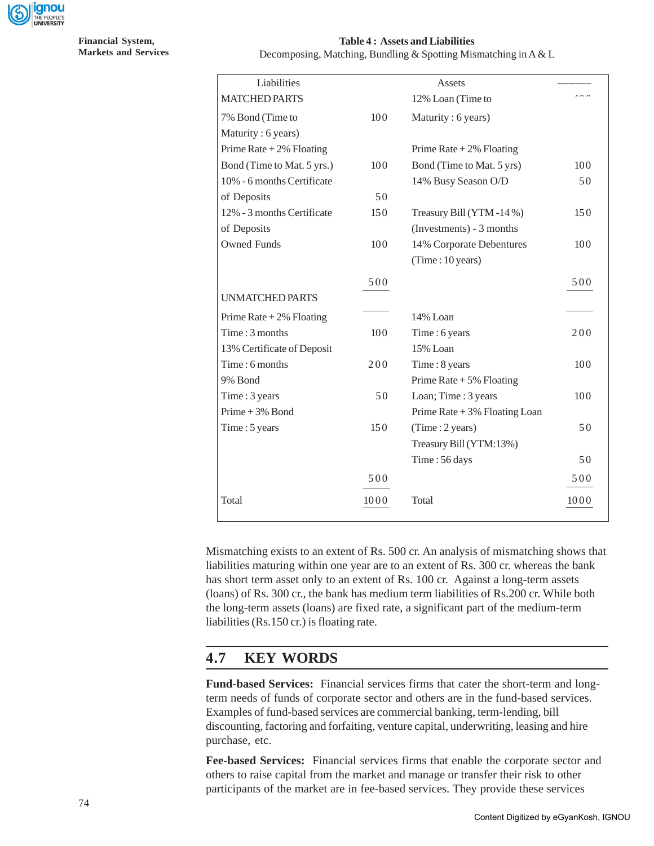

**Table 4 : Assets and Liabilities**

Decomposing, Matching, Bundling & Spotting Mismatching in A & L

| Liabilities                |      | Assets                          |      |
|----------------------------|------|---------------------------------|------|
| <b>MATCHED PARTS</b>       |      | 12% Loan (Time to               |      |
| 7% Bond (Time to           | 100  | Maturity: 6 years)              |      |
| Maturity: 6 years)         |      |                                 |      |
| Prime Rate $+2\%$ Floating |      | Prime Rate $+2\%$ Floating      |      |
| Bond (Time to Mat. 5 yrs.) | 100  | Bond (Time to Mat. 5 yrs)       | 100  |
| 10% - 6 months Certificate |      | 14% Busy Season O/D             | 50   |
| of Deposits                | 50   |                                 |      |
| 12% - 3 months Certificate | 150  | Treasury Bill (YTM-14%)         | 150  |
| of Deposits                |      | (Investments) - 3 months        |      |
| <b>Owned Funds</b>         | 100  | 14% Corporate Debentures        | 100  |
|                            |      | (Time: 10 years)                |      |
|                            | 500  |                                 | 500  |
| <b>UNMATCHED PARTS</b>     |      |                                 |      |
| Prime Rate $+2\%$ Floating |      | 14% Loan                        |      |
| Time: 3 months             | 100  | Time: 6 years                   | 200  |
| 13% Certificate of Deposit |      | 15% Loan                        |      |
| Time: 6 months             | 200  | Time: 8 years                   | 100  |
| 9% Bond                    |      | Prime Rate $+5\%$ Floating      |      |
| Time: 3 years              | 50   | Loan; Time: 3 years             | 100  |
| Prime + $3%$ Bond          |      | Prime Rate $+3\%$ Floating Loan |      |
| Time: 5 years              | 150  | (Time : 2 years)                | 50   |
|                            |      | Treasury Bill (YTM:13%)         |      |
|                            |      | Time: 56 days                   | 50   |
|                            | 500  |                                 | 500  |
| Total                      | 1000 | Total                           | 1000 |

Mismatching exists to an extent of Rs. 500 cr. An analysis of mismatching shows that liabilities maturing within one year are to an extent of Rs. 300 cr. whereas the bank has short term asset only to an extent of Rs. 100 cr. Against a long-term assets (loans) of Rs. 300 cr., the bank has medium term liabilities of Rs.200 cr. While both the long-term assets (loans) are fixed rate, a significant part of the medium-term liabilities (Rs.150 cr.) is floating rate.

## **4.7 KEY WORDS**

**Fund-based Services:** Financial services firms that cater the short-term and longterm needs of funds of corporate sector and others are in the fund-based services. Examples of fund-based services are commercial banking, term-lending, bill discounting, factoring and forfaiting, venture capital, underwriting, leasing and hire purchase, etc.

**Fee-based Services:** Financial services firms that enable the corporate sector and others to raise capital from the market and manage or transfer their risk to other participants of the market are in fee-based services. They provide these services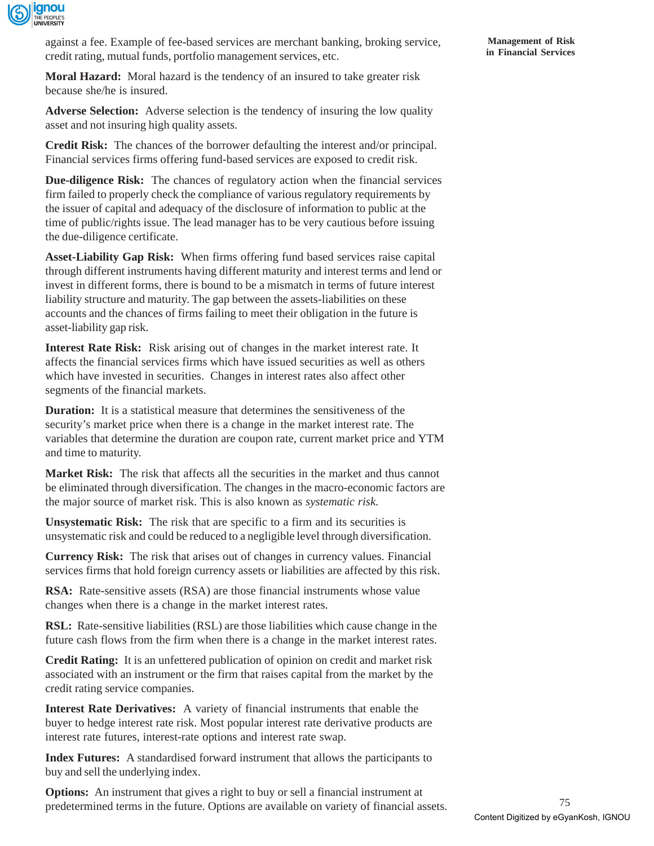

against a fee. Example of fee-based services are merchant banking, broking service, credit rating, mutual funds, portfolio management services, etc.

**Moral Hazard:** Moral hazard is the tendency of an insured to take greater risk because she/he is insured.

**Adverse Selection:** Adverse selection is the tendency of insuring the low quality asset and not insuring high quality assets.

**Credit Risk:** The chances of the borrower defaulting the interest and/or principal. Financial services firms offering fund-based services are exposed to credit risk.

**Due-diligence Risk:** The chances of regulatory action when the financial services firm failed to properly check the compliance of various regulatory requirements by the issuer of capital and adequacy of the disclosure of information to public at the time of public/rights issue. The lead manager has to be very cautious before issuing the due-diligence certificate.

**Asset-Liability Gap Risk:** When firms offering fund based services raise capital through different instruments having different maturity and interest terms and lend or invest in different forms, there is bound to be a mismatch in terms of future interest liability structure and maturity. The gap between the assets-liabilities on these accounts and the chances of firms failing to meet their obligation in the future is asset-liability gap risk.

**Interest Rate Risk:** Risk arising out of changes in the market interest rate. It affects the financial services firms which have issued securities as well as others which have invested in securities. Changes in interest rates also affect other segments of the financial markets.

**Duration:** It is a statistical measure that determines the sensitiveness of the security's market price when there is a change in the market interest rate. The variables that determine the duration are coupon rate, current market price and YTM and time to maturity.

**Market Risk:** The risk that affects all the securities in the market and thus cannot be eliminated through diversification. The changes in the macro-economic factors are the major source of market risk. This is also known as *systematic risk*.

**Unsystematic Risk:** The risk that are specific to a firm and its securities is unsystematic risk and could be reduced to a negligible level through diversification.

**Currency Risk:** The risk that arises out of changes in currency values. Financial services firms that hold foreign currency assets or liabilities are affected by this risk.

**RSA:** Rate-sensitive assets (RSA) are those financial instruments whose value changes when there is a change in the market interest rates.

**RSL:** Rate-sensitive liabilities (RSL) are those liabilities which cause change in the future cash flows from the firm when there is a change in the market interest rates.

**Credit Rating:** It is an unfettered publication of opinion on credit and market risk associated with an instrument or the firm that raises capital from the market by the credit rating service companies.

**Interest Rate Derivatives:** A variety of financial instruments that enable the buyer to hedge interest rate risk. Most popular interest rate derivative products are interest rate futures, interest-rate options and interest rate swap.

**Index Futures:** A standardised forward instrument that allows the participants to buy and sell the underlying index.

**Options:** An instrument that gives a right to buy or sell a financial instrument at predetermined terms in the future. Options are available on variety of financial assets.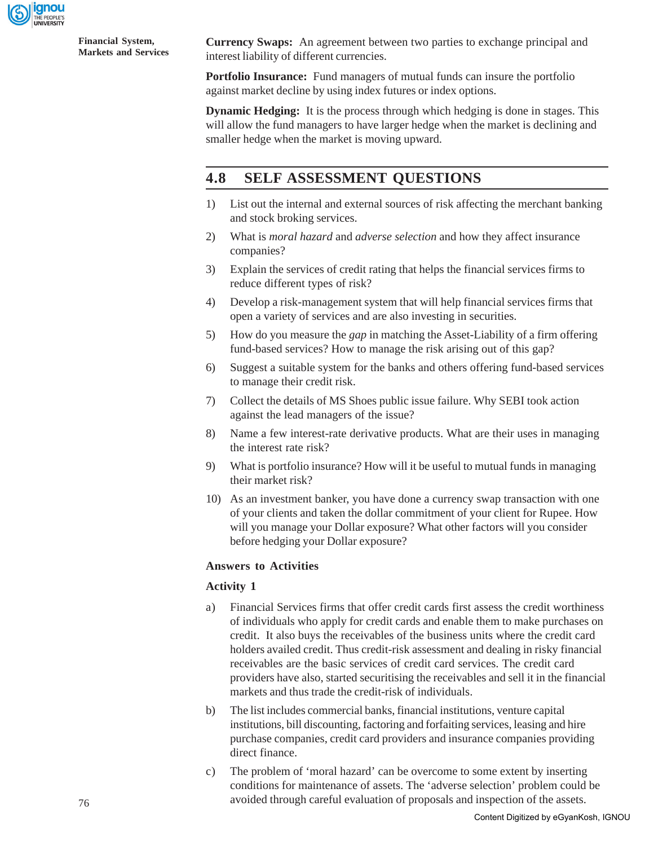

**Currency Swaps:** An agreement between two parties to exchange principal and interest liability of different currencies.

**Portfolio Insurance:** Fund managers of mutual funds can insure the portfolio against market decline by using index futures or index options.

**Dynamic Hedging:** It is the process through which hedging is done in stages. This will allow the fund managers to have larger hedge when the market is declining and smaller hedge when the market is moving upward.

## **4.8 SELF ASSESSMENT QUESTIONS**

- 1) List out the internal and external sources of risk affecting the merchant banking and stock broking services.
- 2) What is *moral hazard* and *adverse selection* and how they affect insurance companies?
- 3) Explain the services of credit rating that helps the financial services firms to reduce different types of risk?
- 4) Develop a risk-management system that will help financial services firms that open a variety of services and are also investing in securities.
- 5) How do you measure the *gap* in matching the Asset-Liability of a firm offering fund-based services? How to manage the risk arising out of this gap?
- 6) Suggest a suitable system for the banks and others offering fund-based services to manage their credit risk.
- 7) Collect the details of MS Shoes public issue failure. Why SEBI took action against the lead managers of the issue?
- 8) Name a few interest-rate derivative products. What are their uses in managing the interest rate risk?
- 9) What is portfolio insurance? How will it be useful to mutual funds in managing their market risk?
- 10) As an investment banker, you have done a currency swap transaction with one of your clients and taken the dollar commitment of your client for Rupee. How will you manage your Dollar exposure? What other factors will you consider before hedging your Dollar exposure?

## **Answers to Activities**

## **Activity 1**

- a) Financial Services firms that offer credit cards first assess the credit worthiness of individuals who apply for credit cards and enable them to make purchases on credit. It also buys the receivables of the business units where the credit card holders availed credit. Thus credit-risk assessment and dealing in risky financial receivables are the basic services of credit card services. The credit card providers have also, started securitising the receivables and sell it in the financial markets and thus trade the credit-risk of individuals.
- b) The list includes commercial banks, financial institutions, venture capital institutions, bill discounting, factoring and forfaiting services, leasing and hire purchase companies, credit card providers and insurance companies providing direct finance.
- c) The problem of 'moral hazard' can be overcome to some extent by inserting conditions for maintenance of assets. The 'adverse selection' problem could be avoided through careful evaluation of proposals and inspection of the assets.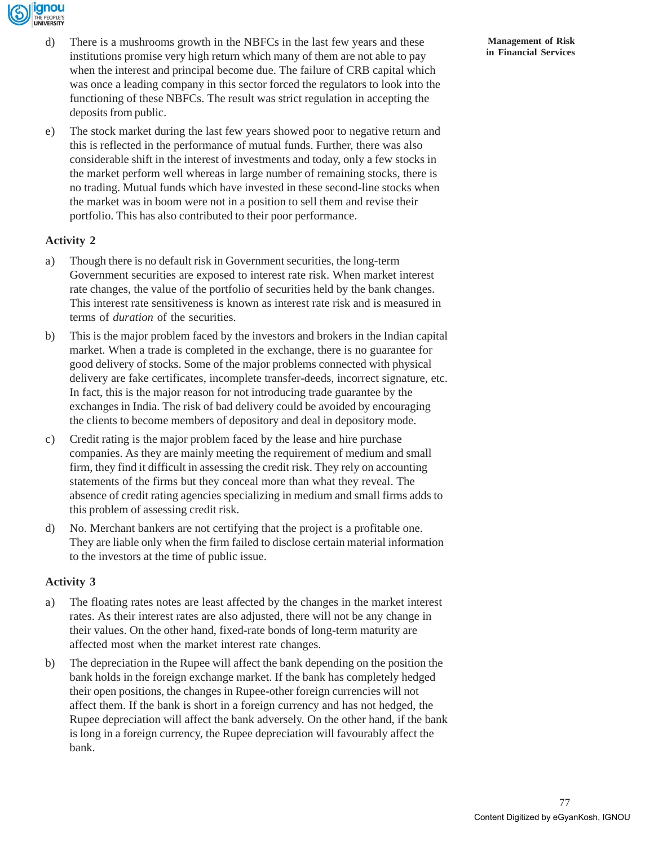

- d) There is a mushrooms growth in the NBFCs in the last few years and these institutions promise very high return which many of them are not able to pay when the interest and principal become due. The failure of CRB capital which was once a leading company in this sector forced the regulators to look into the functioning of these NBFCs. The result was strict regulation in accepting the deposits from public.
- e) The stock market during the last few years showed poor to negative return and this is reflected in the performance of mutual funds. Further, there was also considerable shift in the interest of investments and today, only a few stocks in the market perform well whereas in large number of remaining stocks, there is no trading. Mutual funds which have invested in these second-line stocks when the market was in boom were not in a position to sell them and revise their portfolio. This has also contributed to their poor performance.

## **Activity 2**

- a) Though there is no default risk in Government securities, the long-term Government securities are exposed to interest rate risk. When market interest rate changes, the value of the portfolio of securities held by the bank changes. This interest rate sensitiveness is known as interest rate risk and is measured in terms of *duration* of the securities.
- b) This is the major problem faced by the investors and brokers in the Indian capital market. When a trade is completed in the exchange, there is no guarantee for good delivery of stocks. Some of the major problems connected with physical delivery are fake certificates, incomplete transfer-deeds, incorrect signature, etc. In fact, this is the major reason for not introducing trade guarantee by the exchanges in India. The risk of bad delivery could be avoided by encouraging the clients to become members of depository and deal in depository mode.
- c) Credit rating is the major problem faced by the lease and hire purchase companies. As they are mainly meeting the requirement of medium and small firm, they find it difficult in assessing the credit risk. They rely on accounting statements of the firms but they conceal more than what they reveal. The absence of credit rating agencies specializing in medium and small firms adds to this problem of assessing credit risk.
- d) No. Merchant bankers are not certifying that the project is a profitable one. They are liable only when the firm failed to disclose certain material information to the investors at the time of public issue.

## **Activity 3**

- a) The floating rates notes are least affected by the changes in the market interest rates. As their interest rates are also adjusted, there will not be any change in their values. On the other hand, fixed-rate bonds of long-term maturity are affected most when the market interest rate changes.
- b) The depreciation in the Rupee will affect the bank depending on the position the bank holds in the foreign exchange market. If the bank has completely hedged their open positions, the changes in Rupee-other foreign currencies will not affect them. If the bank is short in a foreign currency and has not hedged, the Rupee depreciation will affect the bank adversely. On the other hand, if the bank is long in a foreign currency, the Rupee depreciation will favourably affect the bank.